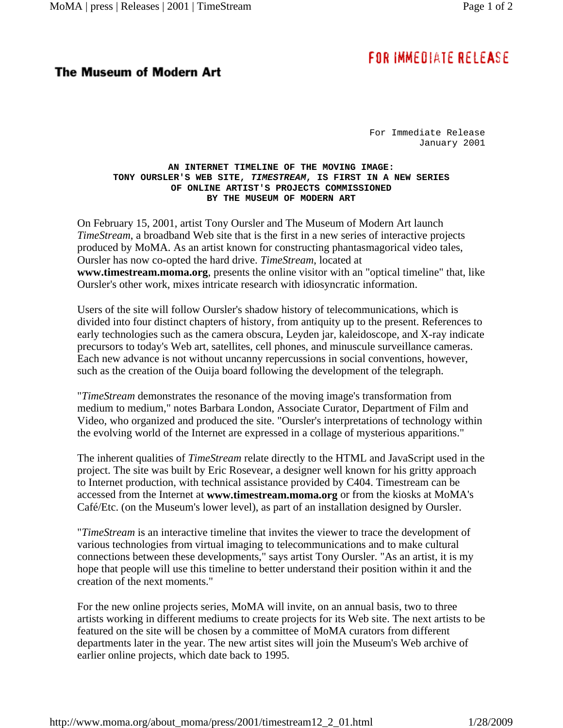## FOR IMMEDIATE RELEASE

## **The Museum of Modern Art**

For Immediate Release January 2001

## **AN INTERNET TIMELINE OF THE MOVING IMAGE: TONY OURSLER'S WEB SITE,** *TIMESTREAM***, IS FIRST IN A NEW SERIES OF ONLINE ARTIST'S PROJECTS COMMISSIONED BY THE MUSEUM OF MODERN ART**

On February 15, 2001, artist Tony Oursler and The Museum of Modern Art launch *TimeStream*, a broadband Web site that is the first in a new series of interactive projects produced by MoMA. As an artist known for constructing phantasmagorical video tales, Oursler has now co-opted the hard drive. *TimeStream*, located at **www.timestream.moma.org**, presents the online visitor with an "optical timeline" that, like Oursler's other work, mixes intricate research with idiosyncratic information.

Users of the site will follow Oursler's shadow history of telecommunications, which is divided into four distinct chapters of history, from antiquity up to the present. References to early technologies such as the camera obscura, Leyden jar, kaleidoscope, and X-ray indicate precursors to today's Web art, satellites, cell phones, and minuscule surveillance cameras. Each new advance is not without uncanny repercussions in social conventions, however, such as the creation of the Ouija board following the development of the telegraph.

"*TimeStream* demonstrates the resonance of the moving image's transformation from medium to medium," notes Barbara London, Associate Curator, Department of Film and Video, who organized and produced the site. "Oursler's interpretations of technology within the evolving world of the Internet are expressed in a collage of mysterious apparitions."

The inherent qualities of *TimeStream* relate directly to the HTML and JavaScript used in the project. The site was built by Eric Rosevear, a designer well known for his gritty approach to Internet production, with technical assistance provided by C404. Timestream can be accessed from the Internet at **www.timestream.moma.org** or from the kiosks at MoMA's Café/Etc. (on the Museum's lower level), as part of an installation designed by Oursler.

"*TimeStream* is an interactive timeline that invites the viewer to trace the development of various technologies from virtual imaging to telecommunications and to make cultural connections between these developments," says artist Tony Oursler. "As an artist, it is my hope that people will use this timeline to better understand their position within it and the creation of the next moments."

For the new online projects series, MoMA will invite, on an annual basis, two to three artists working in different mediums to create projects for its Web site. The next artists to be featured on the site will be chosen by a committee of MoMA curators from different departments later in the year. The new artist sites will join the Museum's Web archive of earlier online projects, which date back to 1995.